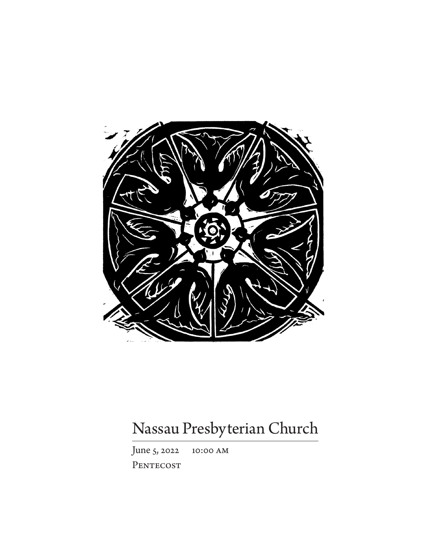

# Nassau Presbyterian Church

June 5, 2022 10:00 am PENTECOST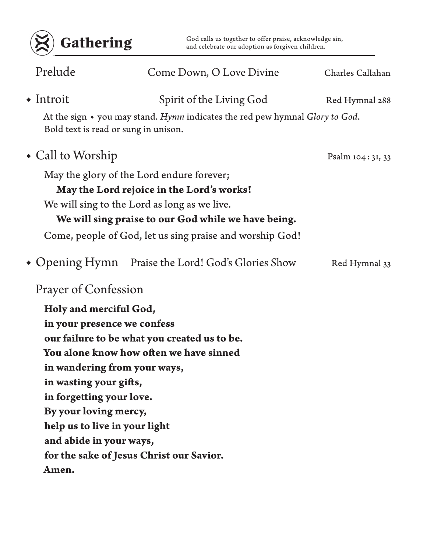

Gathering God calls us together to offer praise, acknowledge sin,<br>and celebrate our adoption as forgiven children.

| Prelude                       | Come Down, O Love Divine                                                                                             | Charles Callahan |
|-------------------------------|----------------------------------------------------------------------------------------------------------------------|------------------|
| $\bullet$ Introit             | Spirit of the Living God                                                                                             | Red Hymnal 288   |
|                               | At the sign • you may stand. Hymn indicates the red pew hymnal Glory to God.<br>Bold text is read or sung in unison. |                  |
| $\bullet$ Call to Worship     |                                                                                                                      | Psalm 104:31, 33 |
|                               | May the glory of the Lord endure forever;                                                                            |                  |
|                               | May the Lord rejoice in the Lord's works!                                                                            |                  |
|                               | We will sing to the Lord as long as we live.                                                                         |                  |
|                               | We will sing praise to our God while we have being.                                                                  |                  |
|                               | Come, people of God, let us sing praise and worship God!                                                             |                  |
|                               | • Opening Hymn Praise the Lord! God's Glories Show                                                                   | Red Hymnal 33    |
| Prayer of Confession          |                                                                                                                      |                  |
| Holy and merciful God,        |                                                                                                                      |                  |
| in your presence we confess   |                                                                                                                      |                  |
|                               | our failure to be what you created us to be.                                                                         |                  |
|                               | You alone know how often we have sinned                                                                              |                  |
|                               | in wandering from your ways,                                                                                         |                  |
| in wasting your gifts,        |                                                                                                                      |                  |
| in forgetting your love.      |                                                                                                                      |                  |
| By your loving mercy,         |                                                                                                                      |                  |
| help us to live in your light |                                                                                                                      |                  |
| and abide in your ways,       |                                                                                                                      |                  |
|                               | for the sake of Jesus Christ our Savior.                                                                             |                  |
| Amen.                         |                                                                                                                      |                  |
|                               |                                                                                                                      |                  |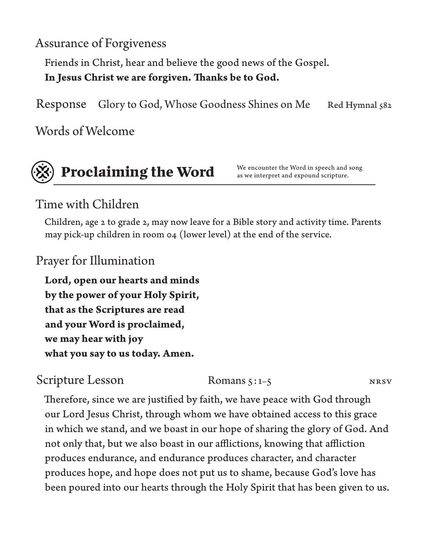Assurance of Forgiveness

Friends in Christ, hear and believe the good news of the Gospel. **In Jesus Christ we are forgiven. Thanks be to God.**

Response Glory to God, Whose Goodness Shines on Me Red Hymnal 582

Words of Welcome



## **Proclaiming the Word We encounter the Word in speech and song as we interpret and expound scripture.**

as we interpret and expound scripture.

### Time with Children

Children, age 2 to grade 2, may now leave for a Bible story and activity time. Parents may pick-up children in room 04 (lower level) at the end of the service.

Prayer for Illumination

**Lord, open our hearts and minds by the power of your Holy Spirit, that as the Scriptures are read and your Word is proclaimed, we may hear with joy what you say to us today. Amen.**

Scripture Lesson Romans 5:1-5 NRSV

Therefore, since we are justified by faith, we have peace with God through our Lord Jesus Christ, through whom we have obtained access to this grace in which we stand, and we boast in our hope of sharing the glory of God. And not only that, but we also boast in our afflictions, knowing that affliction produces endurance, and endurance produces character, and character produces hope, and hope does not put us to shame, because God's love has been poured into our hearts through the Holy Spirit that has been given to us.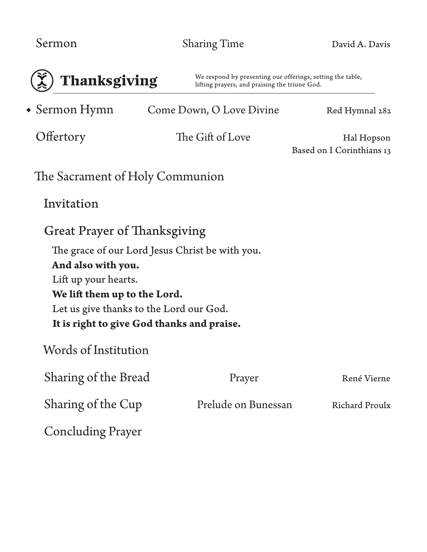| <b>E</b> Thanksgiving       |        |  |  |
|-----------------------------|--------|--|--|
| $\triangleleft$ Sermon Hymn | Come I |  |  |

We respond by presenting our offerings, setting the table, lifting prayers, and praising the triune God.

Come Down, O Love Divine Red Hymnal 282

Offertory The Gift of Love Hal Hopson Based on I Corinthians 13

| The Sacrament of Holy Communion |  |
|---------------------------------|--|
|---------------------------------|--|

Invitation

The grace of our Lord Jesus Christ be with you. **And also with you.** Lift up your hearts. **We lift them up to the Lord.** Let us give thanks to the Lord our God. **It is right to give God thanks and praise.**

Words of Institution

| Sharing of the Bread     | Prayer              | René Vierne           |
|--------------------------|---------------------|-----------------------|
| Sharing of the Cup       | Prelude on Bunessan | <b>Richard Proulx</b> |
| <b>Concluding Prayer</b> |                     |                       |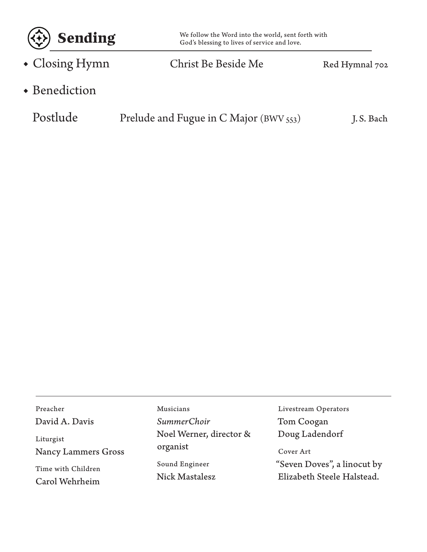

Closing Hymn Christ Be Beside Me Red Hymnal 702 ◆

Benediction ◆

| Postlude | Prelude and Fugue in C Major (BWV 553) | J.S. Bach |
|----------|----------------------------------------|-----------|
|----------|----------------------------------------|-----------|

Preacher David A. Davis

Liturgist Nancy Lammers Gross

Time with Children Carol Wehrheim

Musicians *SummerChoir* Noel Werner, director & organist Sound Engineer Nick Mastalesz

Livestream Operators Tom Coogan Doug Ladendorf

#### Cover Art

"Seven Doves", a linocut by Elizabeth Steele Halstead.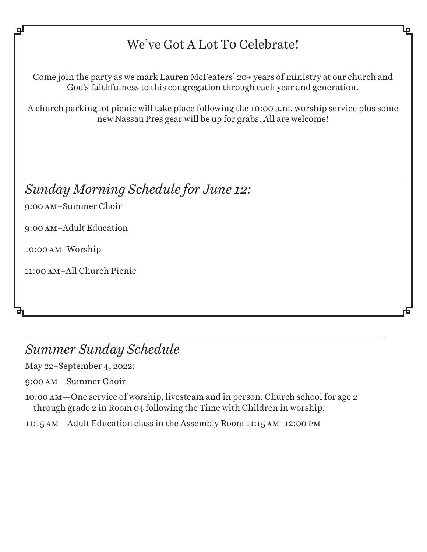### We've Got A Lot To Celebrate!

Come join the party as we mark Lauren McFeaters' 20+ years of ministry at our church and God's faithfulness to this congregation through each year and generation.

A church parking lot picnic will take place following the 10:00 a.m. worship service plus some new Nassau Pres gear will be up for grabs. All are welcome!

*Sunday Morning Schedule for June 12:*

9:00 am–Summer Choir

9:00 am–Adult Education

10:00 am–Worship

11:00 am–All Church Picnic

### *Summer Sunday Schedule*

May 22–September 4, 2022:

9:00 am—Summer Choir

10:00 am—One service of worship, livesteam and in person. Church school for age 2 through grade 2 in Room 04 following the Time with Children in worship.

11:15 am—Adult Education class in the Assembly Room 11:15 am–12:00 pm